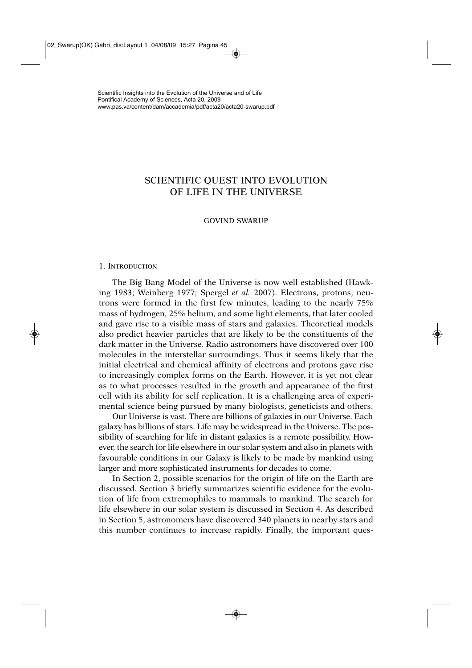# SCIENTIFIC QUEST INTO EVOLUTION OF LIFE IN THE UNIVERSE

# GOVIND SWARUP

#### 1. INTRODUCTION

The Big Bang Model of the Universe is now well established (Hawking 1983; Weinberg 1977; Spergel *et al.* 2007). Electrons, protons, neutrons were formed in the first few minutes, leading to the nearly 75% mass of hydrogen, 25% helium, and some light elements, that later cooled and gave rise to a visible mass of stars and galaxies. Theoretical models also predict heavier particles that are likely to be the constituents of the dark matter in the Universe. Radio astronomers have discovered over 100 molecules in the interstellar surroundings. Thus it seems likely that the initial electrical and chemical affinity of electrons and protons gave rise to increasingly complex forms on the Earth. However, it is yet not clear as to what processes resulted in the growth and appearance of the first cell with its ability for self replication. It is a challenging area of experimental science being pursued by many biologists, geneticists and others.

Our Universe is vast. There are billions of galaxies in our Universe. Each galaxy has billions of stars. Life may be widespread in the Universe. The possibility of searching for life in distant galaxies is a remote possibility. However, the search for life elsewhere in our solar system and also in planets with favourable conditions in our Galaxy is likely to be made by mankind using larger and more sophisticated instruments for decades to come.

In Section 2, possible scenarios for the origin of life on the Earth are discussed. Section 3 briefly summarizes scientific evidence for the evolution of life from extremophiles to mammals to mankind. The search for life elsewhere in our solar system is discussed in Section 4. As described in Section 5, astronomers have discovered 340 planets in nearby stars and this number continues to increase rapidly. Finally, the important ques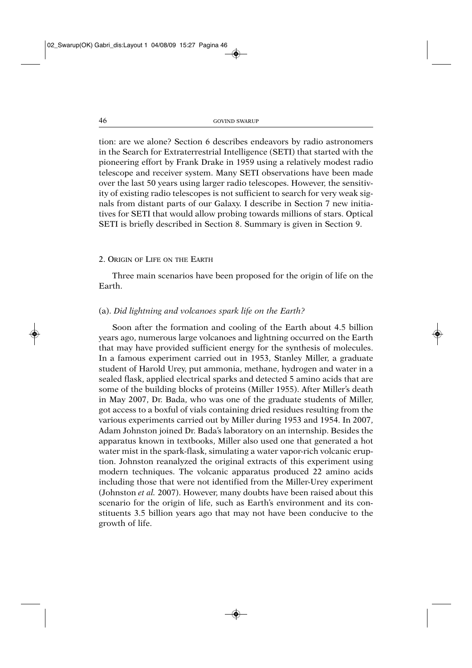tion: are we alone? Section 6 describes endeavors by radio astronomers in the Search for Extraterrestrial Intelligence (SETI) that started with the pioneering effort by Frank Drake in 1959 using a relatively modest radio telescope and receiver system. Many SETI observations have been made over the last 50 years using larger radio telescopes. However, the sensitivity of existing radio telescopes is not sufficient to search for very weak signals from distant parts of our Galaxy. I describe in Section 7 new initiatives for SETI that would allow probing towards millions of stars. Optical SETI is briefly described in Section 8. Summary is given in Section 9.

#### 2. ORIGIN OF LIFE ON THE EARTH

Three main scenarios have been proposed for the origin of life on the Earth.

# (a). *Did lightning and volcanoes spark life on the Earth?*

Soon after the formation and cooling of the Earth about 4.5 billion years ago, numerous large volcanoes and lightning occurred on the Earth that may have provided sufficient energy for the synthesis of molecules. In a famous experiment carried out in 1953, Stanley Miller, a graduate student of Harold Urey, put ammonia, methane, hydrogen and water in a sealed flask, applied electrical sparks and detected 5 amino acids that are some of the building blocks of proteins (Miller 1955). After Miller's death in May 2007, Dr. Bada, who was one of the graduate students of Miller, got access to a boxful of vials containing dried residues resulting from the various experiments carried out by Miller during 1953 and 1954. In 2007, Adam Johnston joined Dr. Bada's laboratory on an internship. Besides the apparatus known in textbooks, Miller also used one that generated a hot water mist in the spark-flask, simulating a water vapor-rich volcanic eruption. Johnston reanalyzed the original extracts of this experiment using modern techniques. The volcanic apparatus produced 22 amino acids including those that were not identified from the Miller-Urey experiment (Johnston *et al.* 2007). However, many doubts have been raised about this scenario for the origin of life, such as Earth's environment and its constituents 3.5 billion years ago that may not have been conducive to the growth of life.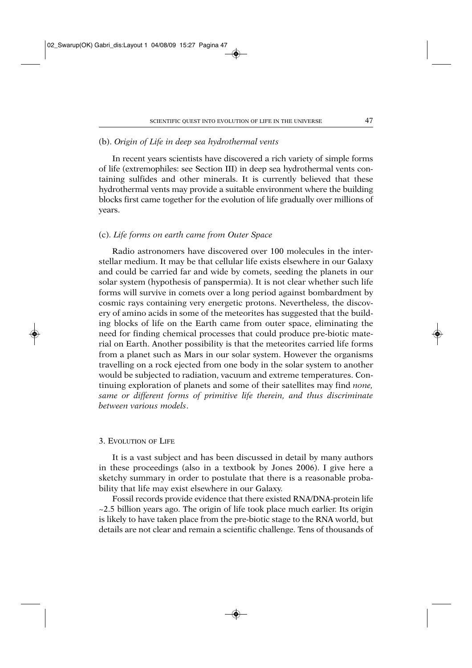# (b). *Origin of Life in deep sea hydrothermal vents*

In recent years scientists have discovered a rich variety of simple forms of life (extremophiles: see Section III) in deep sea hydrothermal vents containing sulfides and other minerals. It is currently believed that these hydrothermal vents may provide a suitable environment where the building blocks first came together for the evolution of life gradually over millions of years.

# (c). *Life forms on earth came from Outer Space*

Radio astronomers have discovered over 100 molecules in the interstellar medium. It may be that cellular life exists elsewhere in our Galaxy and could be carried far and wide by comets, seeding the planets in our solar system (hypothesis of panspermia). It is not clear whether such life forms will survive in comets over a long period against bombardment by cosmic rays containing very energetic protons. Nevertheless, the discovery of amino acids in some of the meteorites has suggested that the building blocks of life on the Earth came from outer space, eliminating the need for finding chemical processes that could produce pre-biotic material on Earth. Another possibility is that the meteorites carried life forms from a planet such as Mars in our solar system. However the organisms travelling on a rock ejected from one body in the solar system to another would be subjected to radiation, vacuum and extreme temperatures. Continuing exploration of planets and some of their satellites may find *none, same or different forms of primitive life therein, and thus discriminate between various models*.

## 3. EVOLUTION OF LIFE

It is a vast subject and has been discussed in detail by many authors in these proceedings (also in a textbook by Jones 2006). I give here a sketchy summary in order to postulate that there is a reasonable probability that life may exist elsewhere in our Galaxy.

Fossil records provide evidence that there existed RNA/DNA-protein life  $\approx$  2.5 billion years ago. The origin of life took place much earlier. Its origin is likely to have taken place from the pre-biotic stage to the RNA world, but details are not clear and remain a scientific challenge. Tens of thousands of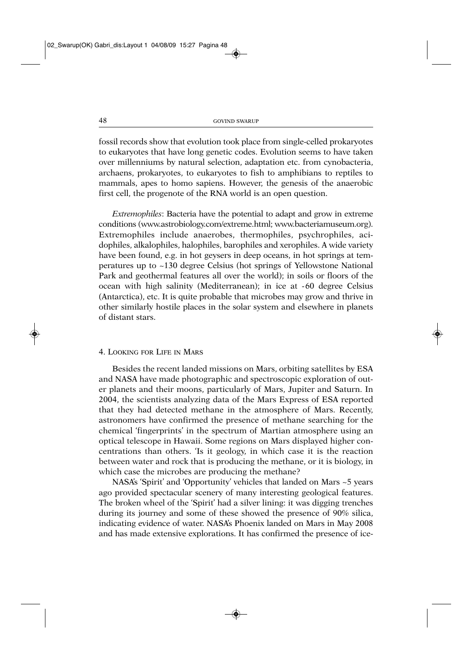fossil records show that evolution took place from single-celled prokaryotes to eukaryotes that have long genetic codes. Evolution seems to have taken over millenniums by natural selection, adaptation etc. from cynobacteria, archaens, prokaryotes, to eukaryotes to fish to amphibians to reptiles to mammals, apes to homo sapiens. However, the genesis of the anaerobic first cell, the progenote of the RNA world is an open question.

*Extremophiles*: Bacteria have the potential to adapt and grow in extreme conditions (www.astrobiology.com/extreme.html; www.bacteriamuseum.org). Extremophiles include anaerobes, thermophiles, psychrophiles, acidophiles, alkalophiles, halophiles, barophiles and xerophiles. A wide variety have been found, e.g. in hot geysers in deep oceans, in hot springs at temperatures up to ~130 degree Celsius (hot springs of Yellowstone National Park and geothermal features all over the world); in soils or floors of the ocean with high salinity (Mediterranean); in ice at -60 degree Celsius (Antarctica), etc. It is quite probable that microbes may grow and thrive in other similarly hostile places in the solar system and elsewhere in planets of distant stars.

# 4. LOOKING FOR LIFE IN MARS

Besides the recent landed missions on Mars, orbiting satellites by ESA and NASA have made photographic and spectroscopic exploration of outer planets and their moons, particularly of Mars, Jupiter and Saturn. In 2004, the scientists analyzing data of the Mars Express of ESA reported that they had detected methane in the atmosphere of Mars. Recently, astronomers have confirmed the presence of methane searching for the chemical 'fingerprints' in the spectrum of Martian atmosphere using an optical telescope in Hawaii. Some regions on Mars displayed higher concentrations than others. 'Is it geology, in which case it is the reaction between water and rock that is producing the methane, or it is biology, in which case the microbes are producing the methane?

NASA's 'Spirit' and 'Opportunity' vehicles that landed on Mars ~5 years ago provided spectacular scenery of many interesting geological features. The broken wheel of the 'Spirit' had a silver lining: it was digging trenches during its journey and some of these showed the presence of 90% silica, indicating evidence of water. NASA's Phoenix landed on Mars in May 2008 and has made extensive explorations. It has confirmed the presence of ice-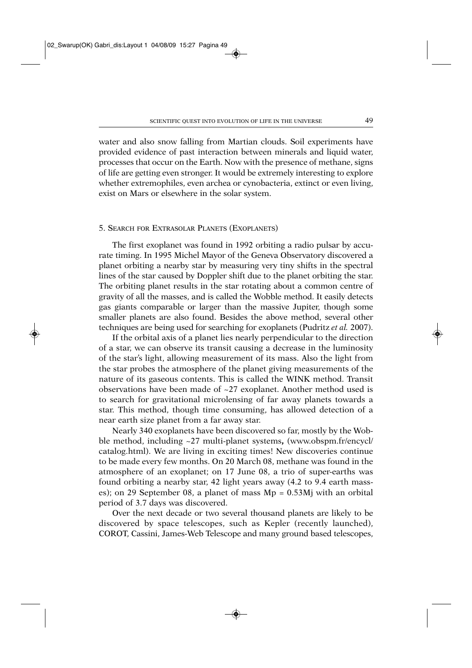water and also snow falling from Martian clouds. Soil experiments have provided evidence of past interaction between minerals and liquid water, processes that occur on the Earth. Now with the presence of methane, signs of life are getting even stronger. It would be extremely interesting to explore whether extremophiles, even archea or cynobacteria, extinct or even living, exist on Mars or elsewhere in the solar system.

#### 5. SEARCH FOR EXTRASOLAR PLANETS (EXOPLANETS)

The first exoplanet was found in 1992 orbiting a radio pulsar by accurate timing. In 1995 Michel Mayor of the Geneva Observatory discovered a planet orbiting a nearby star by measuring very tiny shifts in the spectral lines of the star caused by Doppler shift due to the planet orbiting the star. The orbiting planet results in the star rotating about a common centre of gravity of all the masses, and is called the Wobble method. It easily detects gas giants comparable or larger than the massive Jupiter, though some smaller planets are also found. Besides the above method, several other techniques are being used for searching for exoplanets (Pudritz *et al.* 2007).

If the orbital axis of a planet lies nearly perpendicular to the direction of a star, we can observe its transit causing a decrease in the luminosity of the star's light, allowing measurement of its mass. Also the light from the star probes the atmosphere of the planet giving measurements of the nature of its gaseous contents. This is called the WINK method. Transit observations have been made of ~27 exoplanet. Another method used is to search for gravitational microlensing of far away planets towards a star. This method, though time consuming, has allowed detection of a near earth size planet from a far away star.

Nearly 340 exoplanets have been discovered so far, mostly by the Wobble method, including ~27 multi-planet systems**,** (www.obspm.fr/encycl/ catalog.html). We are living in exciting times! New discoveries continue to be made every few months. On 20 March 08, methane was found in the atmosphere of an exoplanet; on 17 June 08, a trio of super-earths was found orbiting a nearby star, 42 light years away (4.2 to 9.4 earth masses); on 29 September 08, a planet of mass Mp = 0.53Mj with an orbital period of 3.7 days was discovered.

Over the next decade or two several thousand planets are likely to be discovered by space telescopes, such as Kepler (recently launched), COROT, Cassini, James-Web Telescope and many ground based telescopes,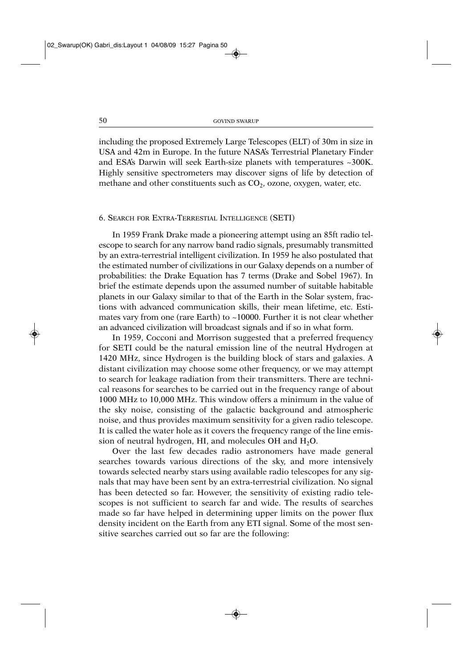including the proposed Extremely Large Telescopes (ELT) of 30m in size in USA and 42m in Europe. In the future NASA's Terrestrial Planetary Finder and ESA's Darwin will seek Earth-size planets with temperatures ~300K. Highly sensitive spectrometers may discover signs of life by detection of methane and other constituents such as  $CO<sub>2</sub>$ , ozone, oxygen, water, etc.

# 6. SEARCH FOR EXTRA-TERRESTIAL INTELLIGENCE (SETI)

In 1959 Frank Drake made a pioneering attempt using an 85ft radio telescope to search for any narrow band radio signals, presumably transmitted by an extra-terrestrial intelligent civilization. In 1959 he also postulated that the estimated number of civilizations in our Galaxy depends on a number of probabilities: the Drake Equation has 7 terms (Drake and Sobel 1967). In brief the estimate depends upon the assumed number of suitable habitable planets in our Galaxy similar to that of the Earth in the Solar system, fractions with advanced communication skills, their mean lifetime, etc. Estimates vary from one (rare Earth) to ~10000. Further it is not clear whether an advanced civilization will broadcast signals and if so in what form.

In 1959, Cocconi and Morrison suggested that a preferred frequency for SETI could be the natural emission line of the neutral Hydrogen at 1420 MHz, since Hydrogen is the building block of stars and galaxies. A distant civilization may choose some other frequency, or we may attempt to search for leakage radiation from their transmitters. There are technical reasons for searches to be carried out in the frequency range of about 1000 MHz to 10,000 MHz. This window offers a minimum in the value of the sky noise, consisting of the galactic background and atmospheric noise, and thus provides maximum sensitivity for a given radio telescope. It is called the water hole as it covers the frequency range of the line emission of neutral hydrogen, HI, and molecules OH and H<sub>2</sub>O.

Over the last few decades radio astronomers have made general searches towards various directions of the sky, and more intensively towards selected nearby stars using available radio telescopes for any signals that may have been sent by an extra-terrestrial civilization. No signal has been detected so far. However, the sensitivity of existing radio telescopes is not sufficient to search far and wide. The results of searches made so far have helped in determining upper limits on the power flux density incident on the Earth from any ETI signal. Some of the most sensitive searches carried out so far are the following: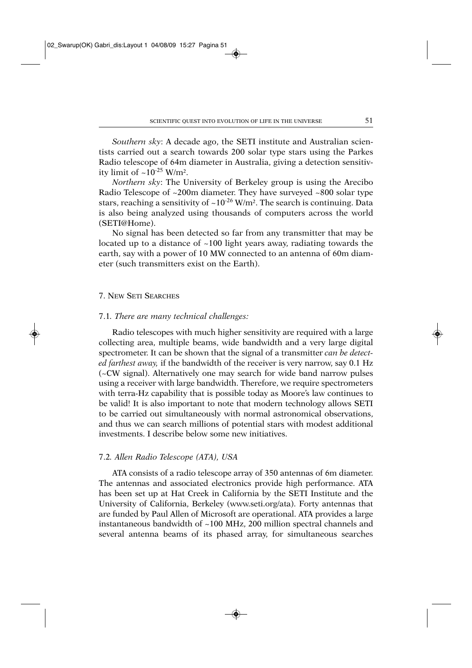*Southern sky*: A decade ago, the SETI institute and Australian scientists carried out a search towards 200 solar type stars using the Parkes Radio telescope of 64m diameter in Australia, giving a detection sensitivity limit of  $\sim 10^{-25}$  W/m<sup>2</sup>.

*Northern sky*: The University of Berkeley group is using the Arecibo Radio Telescope of ~200m diameter. They have surveyed ~800 solar type stars, reaching a sensitivity of  $\sim 10^{-26}$  W/m<sup>2</sup>. The search is continuing. Data is also being analyzed using thousands of computers across the world (SETI@Home).

No signal has been detected so far from any transmitter that may be located up to a distance of ~100 light years away, radiating towards the earth, say with a power of 10 MW connected to an antenna of 60m diameter (such transmitters exist on the Earth).

## 7. NEW SETI SEARCHES

#### 7.1*. There are many technical challenges:*

Radio telescopes with much higher sensitivity are required with a large collecting area, multiple beams, wide bandwidth and a very large digital spectrometer. It can be shown that the signal of a transmitter *can be detected farthest away,* if the bandwidth of the receiver is very narrow, say 0.1 Hz (~CW signal). Alternatively one may search for wide band narrow pulses using a receiver with large bandwidth. Therefore, we require spectrometers with terra-Hz capability that is possible today as Moore's law continues to be valid! It is also important to note that modern technology allows SETI to be carried out simultaneously with normal astronomical observations, and thus we can search millions of potential stars with modest additional investments. I describe below some new initiatives.

## 7.2*. Allen Radio Telescope (ATA), USA*

ATA consists of a radio telescope array of 350 antennas of 6m diameter. The antennas and associated electronics provide high performance. ATA has been set up at Hat Creek in California by the SETI Institute and the University of California, Berkeley (www.seti.org/ata). Forty antennas that are funded by Paul Allen of Microsoft are operational. ATA provides a large instantaneous bandwidth of ~100 MHz, 200 million spectral channels and several antenna beams of its phased array, for simultaneous searches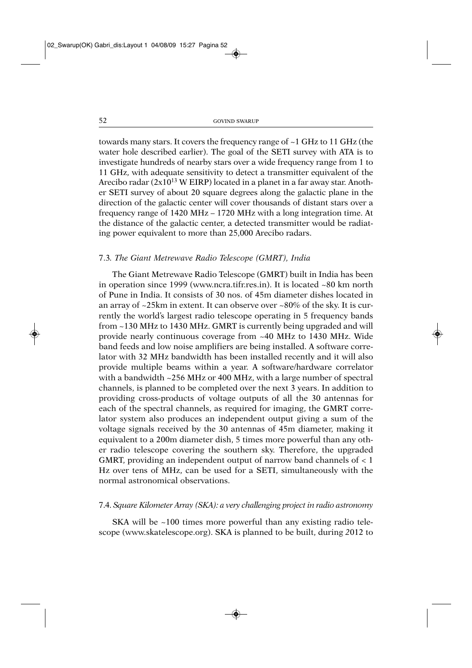towards many stars. It covers the frequency range of ~1 GHz to 11 GHz (the water hole described earlier). The goal of the SETI survey with ATA is to investigate hundreds of nearby stars over a wide frequency range from 1 to 11 GHz, with adequate sensitivity to detect a transmitter equivalent of the Arecibo radar  $(2x10^{13} \text{ W EIRP})$  located in a planet in a far away star. Another SETI survey of about 20 square degrees along the galactic plane in the direction of the galactic center will cover thousands of distant stars over a frequency range of 1420 MHz – 1720 MHz with a long integration time. At the distance of the galactic center, a detected transmitter would be radiating power equivalent to more than 25,000 Arecibo radars.

## 7.3*. The Giant Metrewave Radio Telescope (GMRT), India*

The Giant Metrewave Radio Telescope (GMRT) built in India has been in operation since 1999 (www.ncra.tifr.res.in). It is located ~80 km north of Pune in India. It consists of 30 nos. of 45m diameter dishes located in an array of ~25km in extent. It can observe over ~80% of the sky. It is currently the world's largest radio telescope operating in 5 frequency bands from ~130 MHz to 1430 MHz. GMRT is currently being upgraded and will provide nearly continuous coverage from ~40 MHz to 1430 MHz. Wide band feeds and low noise amplifiers are being installed. A software correlator with 32 MHz bandwidth has been installed recently and it will also provide multiple beams within a year. A software/hardware correlator with a bandwidth ~256 MHz or 400 MHz, with a large number of spectral channels, is planned to be completed over the next 3 years. In addition to providing cross-products of voltage outputs of all the 30 antennas for each of the spectral channels, as required for imaging, the GMRT correlator system also produces an independent output giving a sum of the voltage signals received by the 30 antennas of 45m diameter, making it equivalent to a 200m diameter dish, 5 times more powerful than any other radio telescope covering the southern sky. Therefore, the upgraded GMRT, providing an independent output of narrow band channels of < 1 Hz over tens of MHz, can be used for a SETI, simultaneously with the normal astronomical observations.

## 7.4. *Square Kilometer Array (SKA): a very challenging project in radio astronomy*

SKA will be  $\sim$ 100 times more powerful than any existing radio telescope (www.skatelescope.org). SKA is planned to be built, during *2*012 to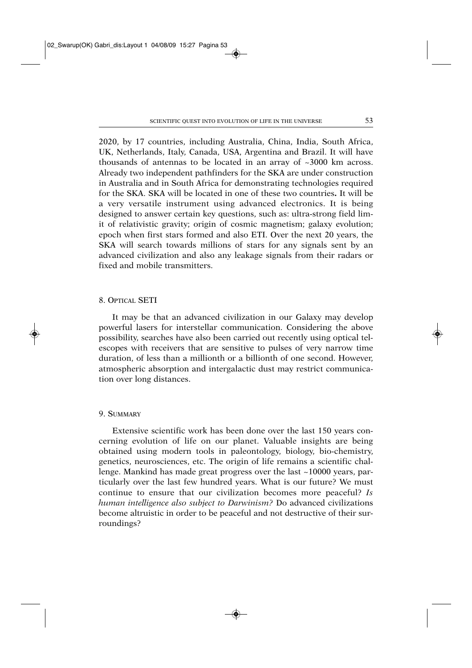2020, by 17 countries, including Australia, China, India, South Africa, UK, Netherlands, Italy, Canada, USA, Argentina and Brazil. It will have thousands of antennas to be located in an array of ~3000 km across. Already two independent pathfinders for the SKA are under construction in Australia and in South Africa for demonstrating technologies required for the SKA. SKA will be located in one of these two countries**.** It will be a very versatile instrument using advanced electronics. It is being designed to answer certain key questions, such as: ultra-strong field limit of relativistic gravity; origin of cosmic magnetism; galaxy evolution; epoch when first stars formed and also ETI. Over the next 20 years, the SKA will search towards millions of stars for any signals sent by an advanced civilization and also any leakage signals from their radars or fixed and mobile transmitters.

#### 8. OPTICAL SETI

It may be that an advanced civilization in our Galaxy may develop powerful lasers for interstellar communication. Considering the above possibility, searches have also been carried out recently using optical telescopes with receivers that are sensitive to pulses of very narrow time duration, of less than a millionth or a billionth of one second. However, atmospheric absorption and intergalactic dust may restrict communication over long distances.

# 9. SUMMARY

Extensive scientific work has been done over the last 150 years concerning evolution of life on our planet. Valuable insights are being obtained using modern tools in paleontology, biology, bio-chemistry, genetics, neurosciences, etc. The origin of life remains a scientific challenge. Mankind has made great progress over the last ~10000 years, particularly over the last few hundred years. What is our future? We must continue to ensure that our civilization becomes more peaceful? *Is human intelligence also subject to Darwinism?* Do advanced civilizations become altruistic in order to be peaceful and not destructive of their surroundings?